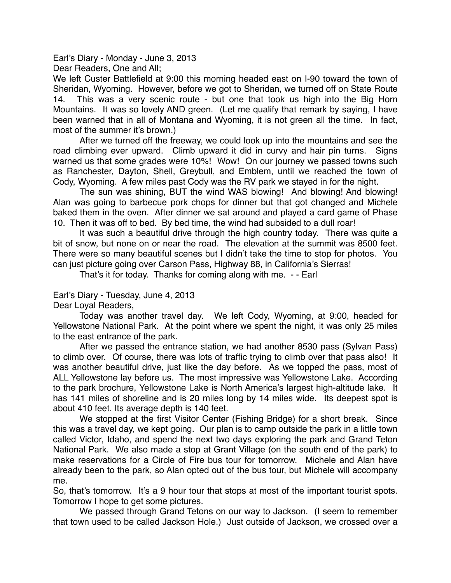Earl's Diary - Monday - June 3, 2013 Dear Readers, One and All;

We left Custer Battlefield at 9:00 this morning headed east on I-90 toward the town of Sheridan, Wyoming. However, before we got to Sheridan, we turned off on State Route 14. This was a very scenic route - but one that took us high into the Big Horn Mountains. It was so lovely AND green. (Let me qualify that remark by saying, I have been warned that in all of Montana and Wyoming, it is not green all the time. In fact, most of the summer it's brown.)

After we turned off the freeway, we could look up into the mountains and see the road climbing ever upward. Climb upward it did in curvy and hair pin turns. Signs warned us that some grades were 10%! Wow! On our journey we passed towns such as Ranchester, Dayton, Shell, Greybull, and Emblem, until we reached the town of Cody, Wyoming. A few miles past Cody was the RV park we stayed in for the night.

The sun was shining, BUT the wind WAS blowing! And blowing! And blowing! Alan was going to barbecue pork chops for dinner but that got changed and Michele baked them in the oven. After dinner we sat around and played a card game of Phase 10. Then it was off to bed. By bed time, the wind had subsided to a dull roar!

It was such a beautiful drive through the high country today. There was quite a bit of snow, but none on or near the road. The elevation at the summit was 8500 feet. There were so many beautiful scenes but I didn't take the time to stop for photos. You can just picture going over Carson Pass, Highway 88, in California's Sierras!

That's it for today. Thanks for coming along with me. - - Earl

Earl's Diary - Tuesday, June 4, 2013

Dear Loyal Readers,

Today was another travel day. We left Cody, Wyoming, at 9:00, headed for Yellowstone National Park. At the point where we spent the night, it was only 25 miles to the east entrance of the park.

After we passed the entrance station, we had another 8530 pass (Sylvan Pass) to climb over. Of course, there was lots of traffic trying to climb over that pass also! It was another beautiful drive, just like the day before. As we topped the pass, most of ALL Yellowstone lay before us. The most impressive was Yellowstone Lake. According to the park brochure, Yellowstone Lake is North America's largest high-altitude lake. It has 141 miles of shoreline and is 20 miles long by 14 miles wide. Its deepest spot is about 410 feet. Its average depth is 140 feet.

We stopped at the first Visitor Center (Fishing Bridge) for a short break. Since this was a travel day, we kept going. Our plan is to camp outside the park in a little town called Victor, Idaho, and spend the next two days exploring the park and Grand Teton National Park. We also made a stop at Grant Village (on the south end of the park) to make reservations for a Circle of Fire bus tour for tomorrow. Michele and Alan have already been to the park, so Alan opted out of the bus tour, but Michele will accompany me.

So, that's tomorrow. It's a 9 hour tour that stops at most of the important tourist spots. Tomorrow I hope to get some pictures.

We passed through Grand Tetons on our way to Jackson. (I seem to remember that town used to be called Jackson Hole.) Just outside of Jackson, we crossed over a